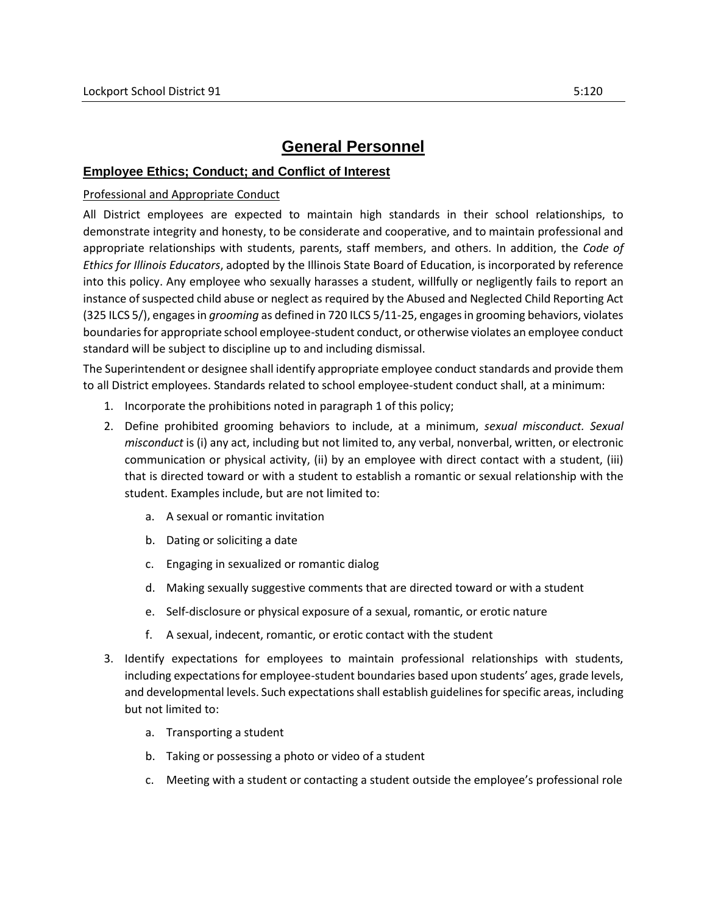# **General Personnel**

#### **Employee Ethics; Conduct; and Conflict of Interest**

#### Professional and Appropriate Conduct

All District employees are expected to maintain high standards in their school relationships, to demonstrate integrity and honesty, to be considerate and cooperative, and to maintain professional and appropriate relationships with students, parents, staff members, and others. In addition, the *Code of Ethics for Illinois Educators*, adopted by the Illinois State Board of Education, is incorporated by reference into this policy. Any employee who sexually harasses a student, willfully or negligently fails to report an instance of suspected child abuse or neglect as required by the Abused and Neglected Child Reporting Act (325 ILCS 5/), engages in *grooming* as defined in 720 ILCS 5/11-25, engages in grooming behaviors, violates boundaries for appropriate school employee-student conduct, or otherwise violates an employee conduct standard will be subject to discipline up to and including dismissal.

The Superintendent or designee shall identify appropriate employee conduct standards and provide them to all District employees. Standards related to school employee-student conduct shall, at a minimum:

- 1. Incorporate the prohibitions noted in paragraph 1 of this policy;
- 2. Define prohibited grooming behaviors to include, at a minimum, *sexual misconduct. Sexual misconduct* is (i) any act, including but not limited to, any verbal, nonverbal, written, or electronic communication or physical activity, (ii) by an employee with direct contact with a student, (iii) that is directed toward or with a student to establish a romantic or sexual relationship with the student. Examples include, but are not limited to:
	- a. A sexual or romantic invitation
	- b. Dating or soliciting a date
	- c. Engaging in sexualized or romantic dialog
	- d. Making sexually suggestive comments that are directed toward or with a student
	- e. Self-disclosure or physical exposure of a sexual, romantic, or erotic nature
	- f. A sexual, indecent, romantic, or erotic contact with the student
- 3. Identify expectations for employees to maintain professional relationships with students, including expectations for employee-student boundaries based upon students' ages, grade levels, and developmental levels. Such expectations shall establish guidelines for specific areas, including but not limited to:
	- a. Transporting a student
	- b. Taking or possessing a photo or video of a student
	- c. Meeting with a student or contacting a student outside the employee's professional role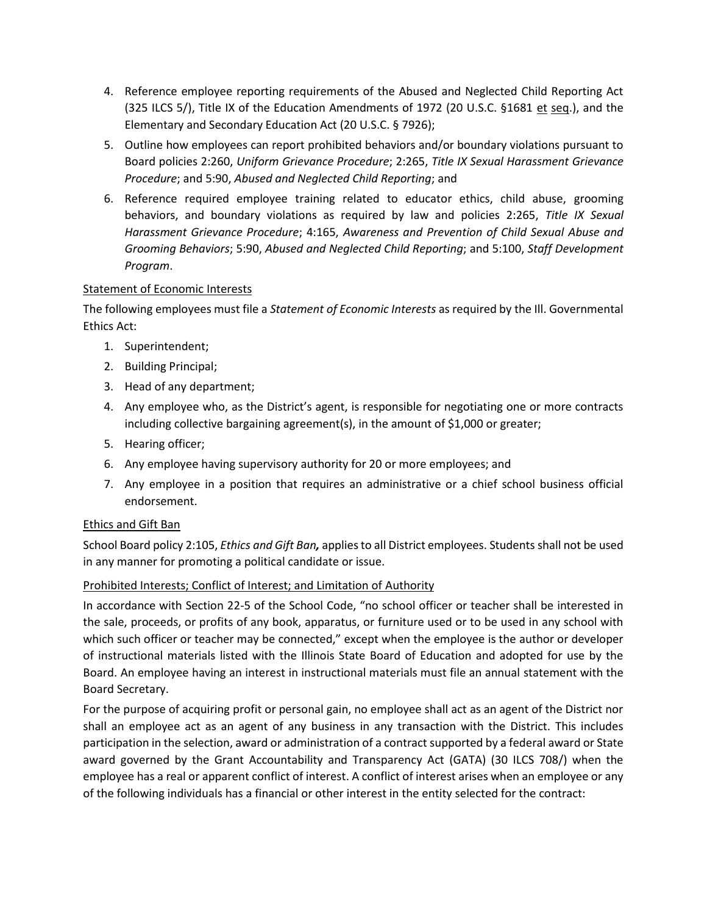- 4. Reference employee reporting requirements of the Abused and Neglected Child Reporting Act (325 ILCS 5/), Title IX of the Education Amendments of 1972 (20 U.S.C. §1681 et seq.), and the Elementary and Secondary Education Act (20 U.S.C. § 7926);
- 5. Outline how employees can report prohibited behaviors and/or boundary violations pursuant to Board policies 2:260, *Uniform Grievance Procedure*; 2:265, *Title IX Sexual Harassment Grievance Procedure*; and 5:90, *Abused and Neglected Child Reporting*; and
- 6. Reference required employee training related to educator ethics, child abuse, grooming behaviors, and boundary violations as required by law and policies 2:265, *Title IX Sexual Harassment Grievance Procedure*; 4:165, *Awareness and Prevention of Child Sexual Abuse and Grooming Behaviors*; 5:90, *Abused and Neglected Child Reporting*; and 5:100, *Staff Development Program*.

### Statement of Economic Interests

The following employees must file a *Statement of Economic Interests* as required by the Ill. Governmental Ethics Act:

- 1. Superintendent;
- 2. Building Principal;
- 3. Head of any department;
- 4. Any employee who, as the District's agent, is responsible for negotiating one or more contracts including collective bargaining agreement(s), in the amount of \$1,000 or greater;
- 5. Hearing officer;
- 6. Any employee having supervisory authority for 20 or more employees; and
- 7. Any employee in a position that requires an administrative or a chief school business official endorsement.

### Ethics and Gift Ban

School Board policy 2:105, *Ethics and Gift Ban,* applies to all District employees. Students shall not be used in any manner for promoting a political candidate or issue.

### Prohibited Interests; Conflict of Interest; and Limitation of Authority

In accordance with Section 22-5 of the School Code, "no school officer or teacher shall be interested in the sale, proceeds, or profits of any book, apparatus, or furniture used or to be used in any school with which such officer or teacher may be connected," except when the employee is the author or developer of instructional materials listed with the Illinois State Board of Education and adopted for use by the Board. An employee having an interest in instructional materials must file an annual statement with the Board Secretary.

For the purpose of acquiring profit or personal gain, no employee shall act as an agent of the District nor shall an employee act as an agent of any business in any transaction with the District. This includes participation in the selection, award or administration of a contract supported by a federal award or State award governed by the Grant Accountability and Transparency Act (GATA) (30 ILCS 708/) when the employee has a real or apparent conflict of interest. A conflict of interest arises when an employee or any of the following individuals has a financial or other interest in the entity selected for the contract: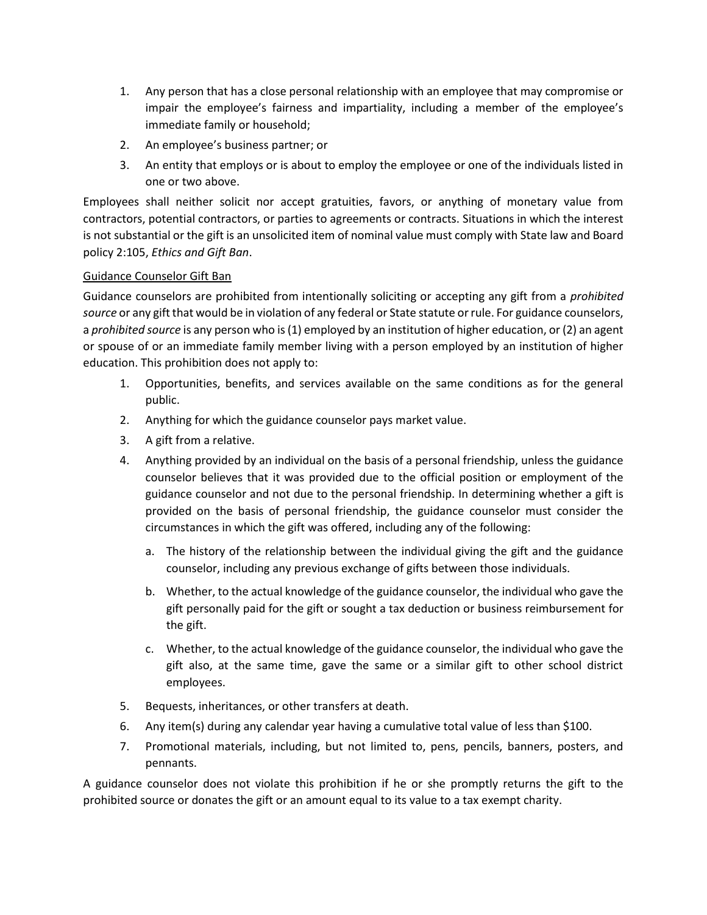- 1. Any person that has a close personal relationship with an employee that may compromise or impair the employee's fairness and impartiality, including a member of the employee's immediate family or household;
- 2. An employee's business partner; or
- 3. An entity that employs or is about to employ the employee or one of the individuals listed in one or two above.

Employees shall neither solicit nor accept gratuities, favors, or anything of monetary value from contractors, potential contractors, or parties to agreements or contracts. Situations in which the interest is not substantial or the gift is an unsolicited item of nominal value must comply with State law and Board policy 2:105, *Ethics and Gift Ban*.

### Guidance Counselor Gift Ban

Guidance counselors are prohibited from intentionally soliciting or accepting any gift from a *prohibited source* or any gift that would be in violation of any federal or State statute or rule. For guidance counselors, a *prohibited source* is any person who is (1) employed by an institution of higher education, or (2) an agent or spouse of or an immediate family member living with a person employed by an institution of higher education. This prohibition does not apply to:

- 1. Opportunities, benefits, and services available on the same conditions as for the general public.
- 2. Anything for which the guidance counselor pays market value.
- 3. A gift from a relative.
- 4. Anything provided by an individual on the basis of a personal friendship, unless the guidance counselor believes that it was provided due to the official position or employment of the guidance counselor and not due to the personal friendship. In determining whether a gift is provided on the basis of personal friendship, the guidance counselor must consider the circumstances in which the gift was offered, including any of the following:
	- a. The history of the relationship between the individual giving the gift and the guidance counselor, including any previous exchange of gifts between those individuals.
	- b. Whether, to the actual knowledge of the guidance counselor, the individual who gave the gift personally paid for the gift or sought a tax deduction or business reimbursement for the gift.
	- c. Whether, to the actual knowledge of the guidance counselor, the individual who gave the gift also, at the same time, gave the same or a similar gift to other school district employees.
- 5. Bequests, inheritances, or other transfers at death.
- 6. Any item(s) during any calendar year having a cumulative total value of less than \$100.
- 7. Promotional materials, including, but not limited to, pens, pencils, banners, posters, and pennants.

A guidance counselor does not violate this prohibition if he or she promptly returns the gift to the prohibited source or donates the gift or an amount equal to its value to a tax exempt charity.